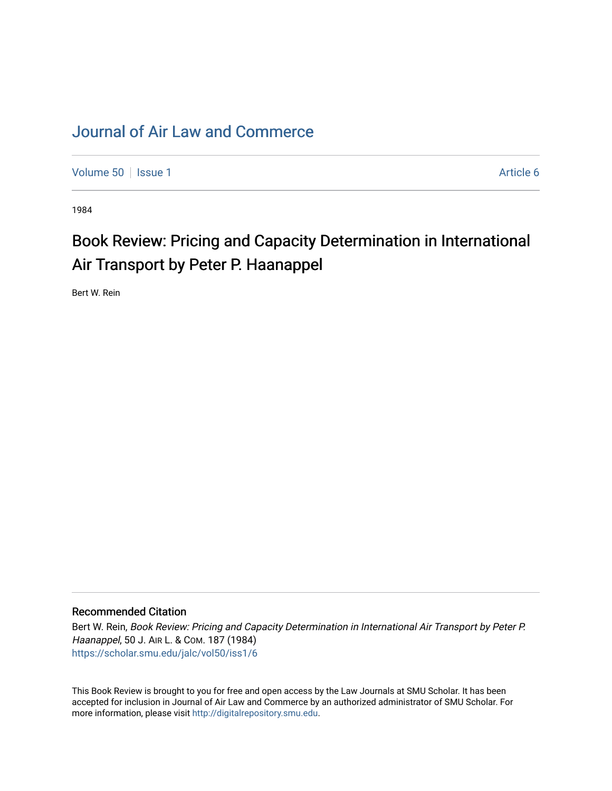## [Journal of Air Law and Commerce](https://scholar.smu.edu/jalc)

[Volume 50](https://scholar.smu.edu/jalc/vol50) | [Issue 1](https://scholar.smu.edu/jalc/vol50/iss1) Article 6

1984

## Book Review: Pricing and Capacity Determination in International Air Transport by Peter P. Haanappel

Bert W. Rein

## Recommended Citation

Bert W. Rein, Book Review: Pricing and Capacity Determination in International Air Transport by Peter P. Haanappel, 50 J. AIR L. & COM. 187 (1984) [https://scholar.smu.edu/jalc/vol50/iss1/6](https://scholar.smu.edu/jalc/vol50/iss1/6?utm_source=scholar.smu.edu%2Fjalc%2Fvol50%2Fiss1%2F6&utm_medium=PDF&utm_campaign=PDFCoverPages) 

This Book Review is brought to you for free and open access by the Law Journals at SMU Scholar. It has been accepted for inclusion in Journal of Air Law and Commerce by an authorized administrator of SMU Scholar. For more information, please visit [http://digitalrepository.smu.edu](http://digitalrepository.smu.edu/).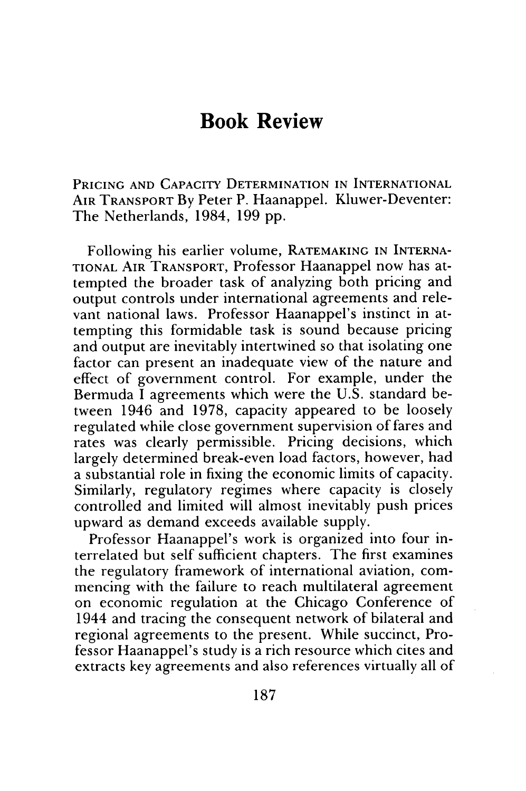## **Book Review**

PRICING **AND** CAPACITY DETERMINATION **IN** INTERNATIONAL AIR TRANSPORT By Peter P. Haanappel. Kluwer-Deventer: The Netherlands, 1984, 199 pp.

Following his earlier volume, RATEMAKING IN INTERNA-**TIONAL** AIR TRANSPORT, Professor Haanappel now has attempted the broader task of analyzing both pricing and output controls under international agreements and relevant national laws. Professor Haanappel's instinct in attempting this formidable task is sound because pricing and output are inevitably intertwined so that isolating one factor can present an inadequate view of the nature and effect of government control. For example, under the Bermuda **I** agreements which were the U.S. standard between 1946 and 1978, capacity appeared to be loosely regulated while close government supervision of fares and rates was clearly permissible. Pricing decisions, which largely determined break-even load factors, however, had a substantial role in fixing the economic limits of capacity. Similarly, regulatory regimes where capacity is closely controlled and limited will almost inevitably push prices upward as demand exceeds available supply.

Professor Haanappel's work is organized into four interrelated but self sufficient chapters. The first examines the regulatory framework of international aviation, commencing with the failure to reach multilateral agreement on economic regulation at the Chicago Conference of 1944 and tracing the consequent network of bilateral and regional agreements to the present. While succinct, Professor Haanappel's study is a rich resource which cites and extracts key agreements and also references virtually all of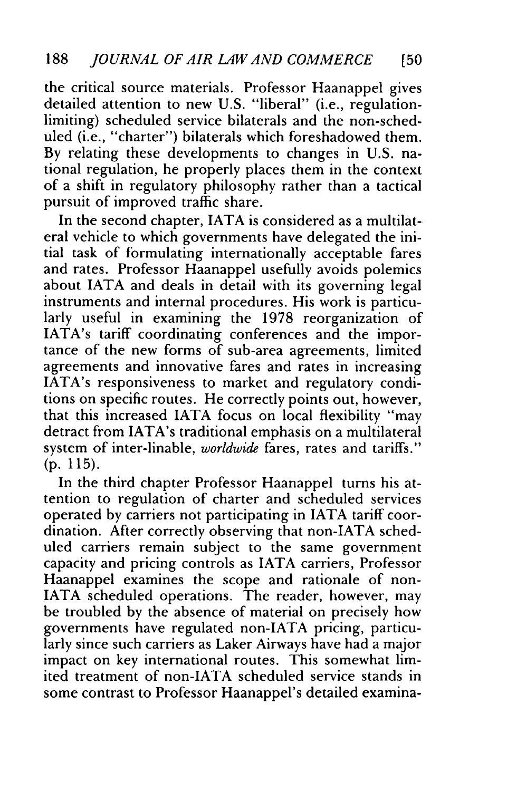the critical source materials. Professor Haanappel gives detailed attention to new U.S. "liberal" (i.e., regulationlimiting) scheduled service bilaterals and the non-scheduled (i.e., "charter") bilaterals which foreshadowed them. By relating these developments to changes in U.S. national regulation, he properly places them in the context of a shift in regulatory philosophy rather than a tactical pursuit of improved traffic share.

In the second chapter, IATA is considered as a multilateral vehicle to which governments have delegated the initial task of formulating internationally acceptable fares and rates. Professor Haanappel usefully avoids polemics about IATA and deals in detail with its governing legal instruments and internal procedures. His work is particularly useful in examining the 1978 reorganization of IATA's tariff coordinating conferences and the importance of the new forms of sub-area agreements, limited agreements and innovative fares and rates in increasing IATA's responsiveness to market and regulatory conditions on specific routes. He correctly points out, however, that this increased IATA focus on local flexibility "may detract from IATA's traditional emphasis on a multilateral system of inter-linable, *worldwide* fares, rates and tariffs." (p. 115).

In the third chapter Professor Haanappel turns his attention to regulation of charter and scheduled services operated by carriers not participating in IATA tariff coordination. After correctly observing that non-IATA scheduled carriers remain subject to the same government capacity and pricing controls as IATA carriers, Professor Haanappel examines the scope and rationale of non-IATA scheduled operations. The reader, however, may be troubled by the absence of material on precisely how governments have regulated non-IATA pricing, particularly since such carriers as Laker Airways have had a major impact on key international routes. This somewhat limited treatment of non-IATA scheduled service stands in some contrast to Professor Haanappel's detailed examina-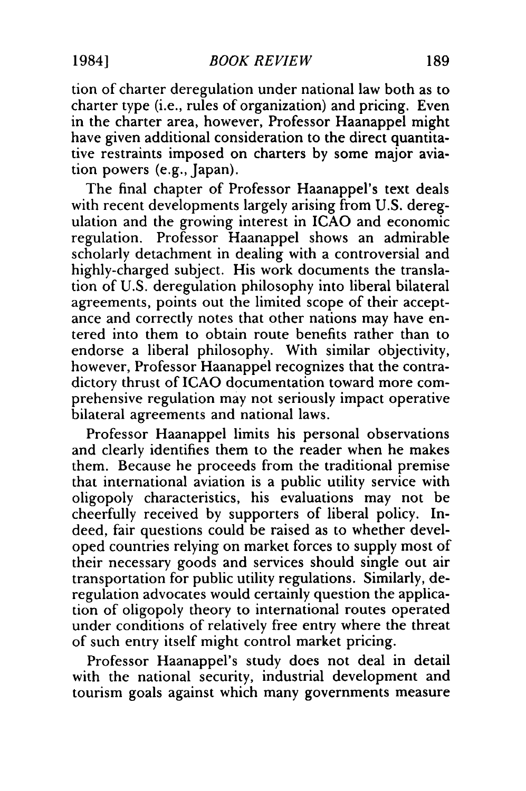tion of charter deregulation under national law both as to charter type (i.e., rules of organization) and pricing. Even in the charter area, however, Professor Haanappel might have given additional consideration to the direct quantitative restraints imposed on charters by some major aviation powers (e.g., Japan).

The final chapter of Professor Haanappel's text deals with recent developments largely arising from U.S. deregulation and the growing interest in **ICAO** and economic regulation. Professor Haanappel shows an admirable scholarly detachment in dealing with a controversial and highly-charged subject. His work documents the translation of U.S. deregulation philosophy into liberal bilateral agreements, points out the limited scope of their acceptance and correctly notes that other nations may have entered into them to obtain route benefits rather than to endorse a liberal philosophy. With similar objectivity, however, Professor Haanappel recognizes that the contradictory thrust of ICAO documentation toward more comprehensive regulation may not seriously impact operative bilateral agreements and national laws.

Professor Haanappel limits his personal observations and clearly identifies them to the reader when he makes them. Because he proceeds from the traditional premise that international aviation is a public utility service with oligopoly characteristics, his evaluations may not be cheerfully received by supporters of liberal policy. Indeed, fair questions could be raised as to whether developed countries relying on market forces to supply most of their necessary goods and services should single out air transportation for public utility regulations. Similarly, deregulation advocates would certainly question the application of oligopoly theory to international routes operated under conditions of relatively free entry where the threat of such entry itself might control market pricing.

Professor Haanappel's study does not deal in detail with the national security, industrial development and tourism goals against which many governments measure